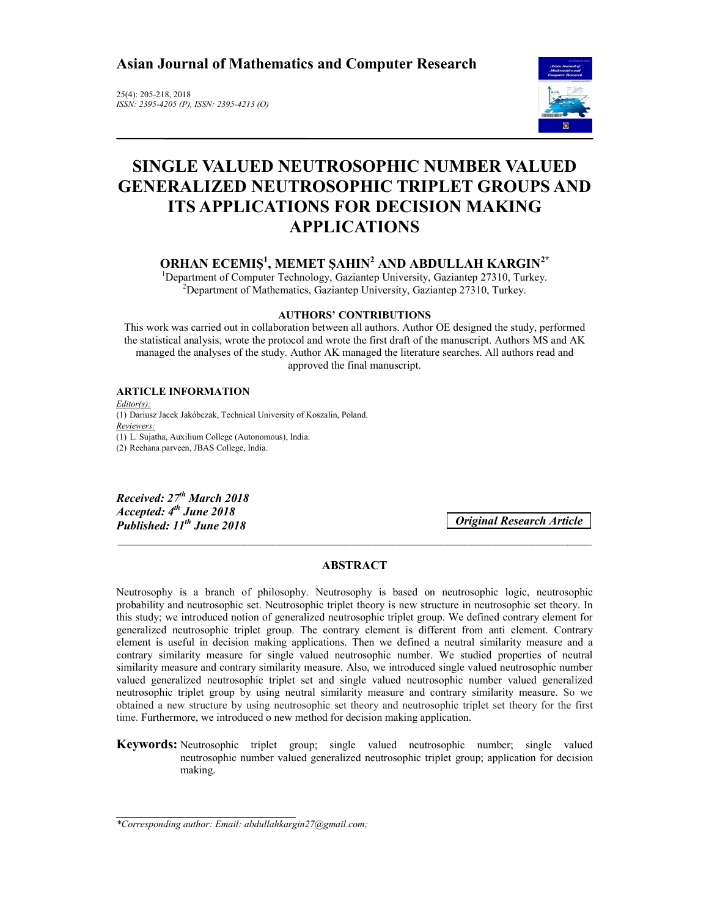**Asian Journal of Mathematics and Computer Research** 

25(4): 205-218, 2018 *ISSN: 2395-4205 (P), ISSN: 2395-4213 (O)*



# **SINGLE VALUED NEUTROSOPHIC NUMBER VALUED GENERALIZED NEUTROSOPHIC TRIPLET GROUPS AND ITS APPLICATIONS FOR DECISION MAKING APPLICATIONS**

**ORHAN ECEMIŞ1 , MEMET ŞAHIN<sup>2</sup> AND ABDULLAH KARGIN2\***

<sup>1</sup>Department of Computer Technology, Gaziantep University, Gaziantep 27310, Turkey.  $^{2}$ Department of Mathematics, Gaziantep University, Gaziantep 27310, Turkey.

### **AUTHORS' CONTRIBUTIONS**

This work was carried out in collaboration between all authors. Author OE designed the study, performed the statistical analysis, wrote the protocol and wrote the first draft of the manuscript. Authors MS and AK managed the analyses of the study. Author AK managed the literature searches. All authors read and approved the final manuscript.

### **ARTICLE INFORMATION**

*Editor(s):* (1) Dariusz Jacek Jakóbczak, Technical University of Koszalin, Poland. *Reviewers:* (1) L. Sujatha, Auxilium College (Autonomous), India. (2) Reehana parveen, JBAS College, India.

*Received: 27th March 2018 Accepted: 4th June 2018 Published: 11th June 2018*

*Original Research Article*

# **ABSTRACT**

\_\_\_\_\_\_\_\_\_\_\_\_\_\_\_\_\_\_\_\_\_\_\_\_\_\_\_\_\_\_\_\_\_\_\_\_\_\_\_\_\_\_\_\_\_\_\_\_\_\_\_\_\_\_\_\_\_\_\_\_\_\_\_\_\_\_\_\_\_\_\_\_\_\_\_\_\_\_\_

Neutrosophy is a branch of philosophy. Neutrosophy is based on neutrosophic logic, neutrosophic probability and neutrosophic set. Neutrosophic triplet theory is new structure in neutrosophic set theory. In this study; we introduced notion of generalized neutrosophic triplet group. We defined contrary element for generalized neutrosophic triplet group. The contrary element is different from anti element. Contrary element is useful in decision making applications. Then we defined a neutral similarity measure and a contrary similarity measure for single valued neutrosophic number. We studied properties of neutral similarity measure and contrary similarity measure. Also, we introduced single valued neutrosophic number valued generalized neutrosophic triplet set and single valued neutrosophic number valued generalized neutrosophic triplet group by using neutral similarity measure and contrary similarity measure. So we obtained a new structure by using neutrosophic set theory and neutrosophic triplet set theory for the first time. Furthermore, we introduced o new method for decision making application.

**Keywords:** Neutrosophic triplet group; single valued neutrosophic number; single valued neutrosophic number valued generalized neutrosophic triplet group; application for decision making.

\_\_\_\_\_\_\_\_\_\_\_\_\_\_\_\_\_\_\_\_\_\_\_\_\_\_\_\_\_\_\_\_\_\_\_\_\_ *\*Corresponding author: Email: abdullahkargin27@gmail.com;*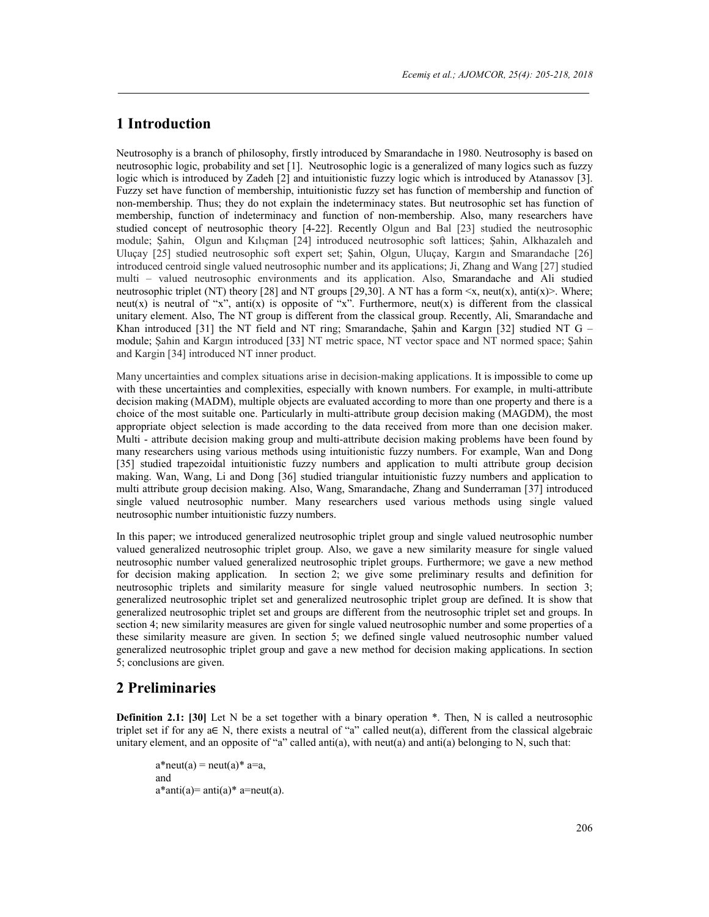# **1 Introduction**

Neutrosophy is a branch of philosophy, firstly introduced by Smarandache in 1980. Neutrosophy is based on neutrosophic logic, probability and set [1]. Neutrosophic logic is a generalized of many logics such as fuzzy logic which is introduced by Zadeh [2] and intuitionistic fuzzy logic which is introduced by Atanassov [3]. Fuzzy set have function of membership, intuitionistic fuzzy set has function of membership and function of non-membership. Thus; they do not explain the indeterminacy states. But neutrosophic set has function of membership, function of indeterminacy and function of non-membership. Also, many researchers have studied concept of neutrosophic theory [4-22]. Recently Olgun and Bal [23] studied the neutrosophic module; Şahin, Olgun and Kılıçman [24] introduced neutrosophic soft lattices; Şahin, Alkhazaleh and Uluçay [25] studied neutrosophic soft expert set; Şahin, Olgun, Uluçay, Kargın and Smarandache [26] introduced centroid single valued neutrosophic number and its applications; Ji, Zhang and Wang [27] studied multi – valued neutrosophic environments and its application. Also, Smarandache and Ali studied neutrosophic triplet (NT) theory [28] and NT groups [29,30]. A NT has a form  $\langle x, \text{neut}(x), \text{anti}(x)\rangle$ . Where; neut(x) is neutral of "x", anti(x) is opposite of "x". Furthermore, neut(x) is different from the classical unitary element. Also, The NT group is different from the classical group. Recently, Ali, Smarandache and Khan introduced [31] the NT field and NT ring; Smarandache, Şahin and Kargın [32] studied NT G – module; Şahin and Kargın introduced [33] NT metric space, NT vector space and NT normed space; Şahin and Kargin [34] introduced NT inner product.

Many uncertainties and complex situations arise in decision-making applications. It is impossible to come up with these uncertainties and complexities, especially with known numbers. For example, in multi-attribute decision making (MADM), multiple objects are evaluated according to more than one property and there is a choice of the most suitable one. Particularly in multi-attribute group decision making (MAGDM), the most appropriate object selection is made according to the data received from more than one decision maker. Multi - attribute decision making group and multi-attribute decision making problems have been found by many researchers using various methods using intuitionistic fuzzy numbers. For example, Wan and Dong [35] studied trapezoidal intuitionistic fuzzy numbers and application to multi attribute group decision making. Wan, Wang, Li and Dong [36] studied triangular intuitionistic fuzzy numbers and application to multi attribute group decision making. Also, Wang, Smarandache, Zhang and Sunderraman [37] introduced single valued neutrosophic number. Many researchers used various methods using single valued neutrosophic number intuitionistic fuzzy numbers.

In this paper; we introduced generalized neutrosophic triplet group and single valued neutrosophic number valued generalized neutrosophic triplet group. Also, we gave a new similarity measure for single valued neutrosophic number valued generalized neutrosophic triplet groups. Furthermore; we gave a new method for decision making application. In section 2; we give some preliminary results and definition for neutrosophic triplets and similarity measure for single valued neutrosophic numbers. In section 3; generalized neutrosophic triplet set and generalized neutrosophic triplet group are defined. It is show that generalized neutrosophic triplet set and groups are different from the neutrosophic triplet set and groups. In section 4; new similarity measures are given for single valued neutrosophic number and some properties of a these similarity measure are given. In section 5; we defined single valued neutrosophic number valued generalized neutrosophic triplet group and gave a new method for decision making applications. In section 5; conclusions are given.

# **2 Preliminaries**

**Definition 2.1: [30]** Let N be a set together with a binary operation  $*$ . Then, N is called a neutrosophic triplet set if for any a∈ N, there exists a neutral of "a" called neut(a), different from the classical algebraic unitary element, and an opposite of "a" called anti(a), with neut(a) and anti(a) belonging to N, such that:

 $a^*$ neut(a) = neut(a)  $*$  a=a, and  $a^*$ anti $(a)=$ anti $(a)^*$  a=neut $(a)$ .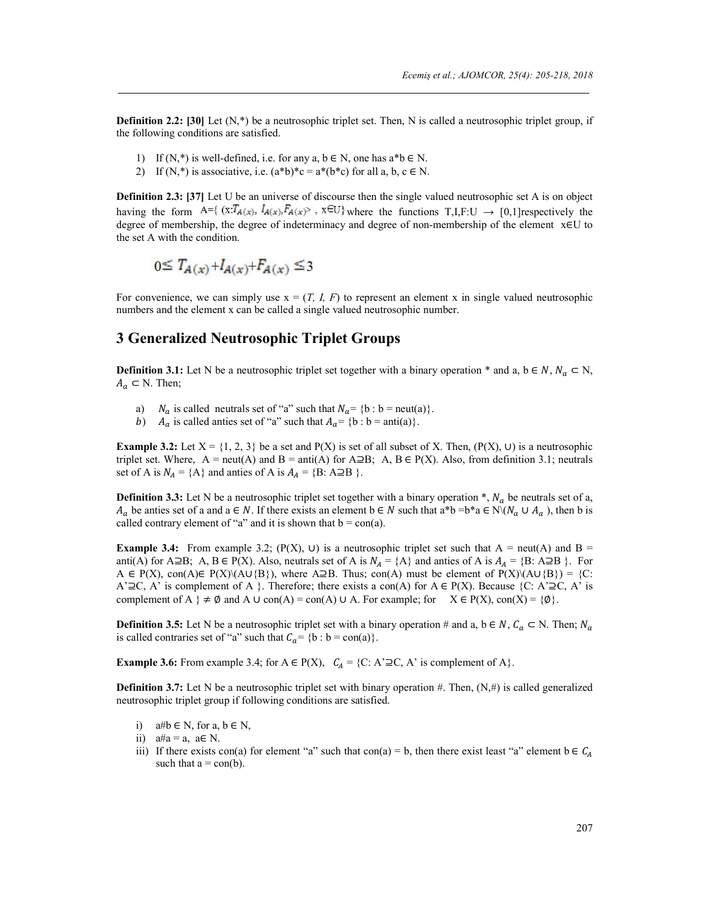**Definition 2.2: [30]** Let  $(N,*)$  be a neutrosophic triplet set. Then, N is called a neutrosophic triplet group, if the following conditions are satisfied.

- 1) If  $(N,*)$  is well-defined, i.e. for any a,  $b \in N$ , one has  $a^*b \in N$ .
- 2) If  $(N,*)$  is associative, i.e.  $(a*b)*c = a*(b*c)$  for all a, b,  $c \in N$ .

**Definition 2.3: [37]** Let U be an universe of discourse then the single valued neutrosophic set A is on object having the form  $A = \{ (x : T_{A(x)}, I_{A(x)}, F_{A(x)}) : x \in U \}$  where the functions  $T, I, F: U \to [0,1]$  respectively the degree of membership, the degree of indeterminacy and degree of non-membership of the element x∈U to the set A with the condition.

$$
0 \leq T_{A(x)} + I_{A(x)} + F_{A(x)} \leq 3
$$

For convenience, we can simply use  $x = (T, I, F)$  to represent an element x in single valued neutrosophic numbers and the element x can be called a single valued neutrosophic number.

# **3 Generalized Neutrosophic Triplet Groups**

**Definition 3.1:** Let N be a neutrosophic triplet set together with a binary operation \* and a, b ∈ N,  $N_a \subset N$ ,  $A_a \subset N$ . Then;

- a)  $N_a$  is called neutrals set of "a" such that  $N_a = \{b : b = \text{neut}(a)\}\$ .<br>  $b)$   $A_a$  is called anties set of "a" such that  $A_a = \{b : b = \text{anti}(a)\}\$ .
- $A_a$  is called anties set of "a" such that  $A_a = \{b : b = \text{anti}(a)\}.$

**Example 3.2:** Let  $X = \{1, 2, 3\}$  be a set and  $P(X)$  is set of all subset of X. Then,  $(P(X), U)$  is a neutrosophic triplet set. Where, A = neut(A) and B = anti(A) for A⊇B; A, B  $\in$  P(X). Also, from definition 3.1; neutrals set of A is  $N_A = \{A\}$  and anties of A is  $A_A = \{B: A \supseteq B\}$ .

**Definition 3.3:** Let N be a neutrosophic triplet set together with a binary operation  $^*$ ,  $N_a$  be neutrals set of a,  $A_a$  be anties set of a and a ∈ N. If there exists an element b ∈ N such that a\*b =b\*a ∈ N\( $N_a \cup A_a$ ), then b is called contrary element of "a" and it is shown that  $b = con(a)$ .

**Example 3.4:** From example 3.2; (P(X), ∪) is a neutrosophic triplet set such that  $A = \text{neut}(A)$  and  $B =$ anti(A) for A⊇B; A, B  $\in$  P(X). Also, neutrals set of A is  $N_A = \{A\}$  and anties of A is  $A_A = \{B: A \supseteq B\}$ . For A ∈ P(X), con(A)∈ P(X)\(A∪{B}), where A⊇B. Thus; con(A) must be element of P(X)\(A∪{B}) = {C: A'⊇C, A' is complement of A }. Therefore; there exists a con(A) for A  $\in$  P(X). Because {C: A'⊇C, A' is complement of A  $\} \neq \emptyset$  and A ∪ con(A) = con(A) ∪ A. For example; for  $X \in P(X)$ , con(X) = { $\emptyset$ }.

**Definition 3.5:** Let N be a neutrosophic triplet set with a binary operation # and a,  $b \in N$ ,  $C_a \subset N$ . Then;  $N_a$ is called contraries set of "a" such that  $C_a = \{b : b = con(a)\}.$ 

**Example 3.6:** From example 3.4; for  $A \in P(X)$ ,  $C_A = \{C: A \supseteq C, A\}$  is complement of A.

**Definition 3.7:** Let N be a neutrosophic triplet set with binary operation #. Then,  $(N, \#)$  is called generalized neutrosophic triplet group if following conditions are satisfied.

i)  $a#b \in N$ , for  $a, b \in N$ ,

iii) If there exists con(a) for element "a" such that con(a) = b, then there exist least "a" element b  $\in C_A$ such that  $a = con(b)$ .

ii)  $a#a = a$ ,  $a \in N$ .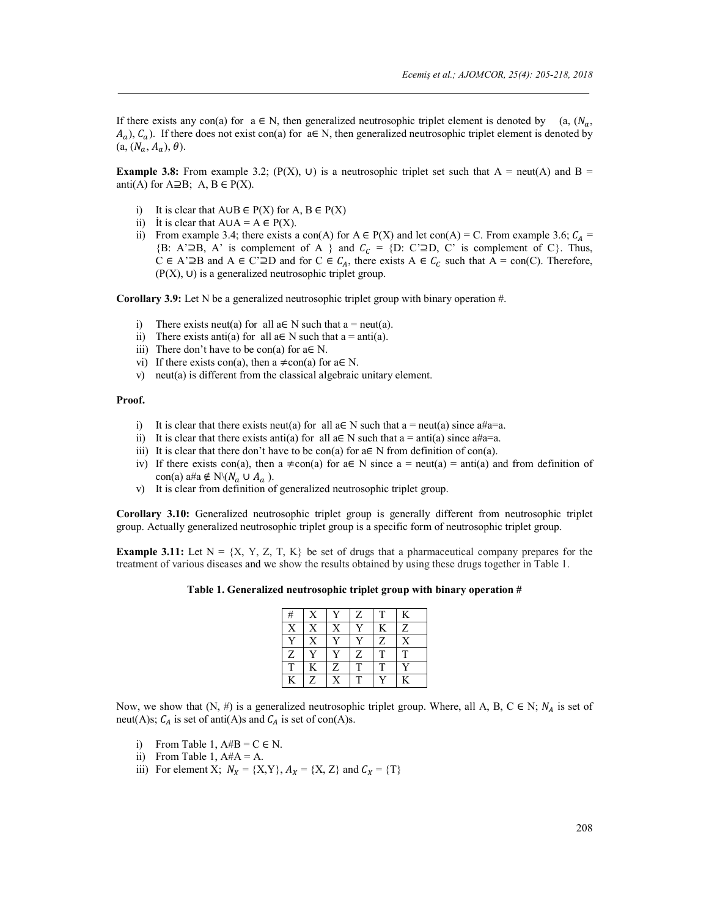If there exists any con(a) for  $a \in N$ , then generalized neutrosophic triplet element is denoted by (a,  $(N_a, N_a)$ )  $(A_a)$ ,  $C_a$ ). If there does not exist con(a) for  $a \in N$ , then generalized neutrosophic triplet element is denoted by  $(a, (N_a, A_a), \theta).$ 

**Example 3.8:** From example 3.2; (P(X), ∪) is a neutrosophic triplet set such that A = neut(A) and B = anti(A) for  $A \supseteq B$ ; A,  $B \in P(X)$ .

- i) It is clear that  $A \cup B \in P(X)$  for  $A, B \in P(X)$
- ii) It is clear that  $A \cup A = A \in P(X)$ .
- ii) From example 3.4; there exists a con(A) for A  $\in$  P(X) and let con(A) = C. From example 3.6;  $C_A$  = {B: A'⊇B, A' is complement of A } and  $C_c = \{D: C' \supseteq D, C'$  is complement of C}. Thus, C ∈ A'⊇B and A ∈ C'⊇D and for C ∈  $C_A$ , there exists A ∈  $C_C$  such that A = con(C). Therefore,  $(P(X), U)$  is a generalized neutrosophic triplet group.

**Corollary 3.9:** Let N be a generalized neutrosophic triplet group with binary operation #.

- i) There exists neut(a) for all  $a \in N$  such that  $a = \text{neut}(a)$ .
- ii) There exists anti(a) for all  $a \in N$  such that  $a = anti(a)$ .
- iii) There don't have to be con(a) for  $a \in N$ .
- vi) If there exists con(a), then a  $\neq$ con(a) for a  $\in$  N.
- v) neut(a) is different from the classical algebraic unitary element.

#### **Proof.**

- i) It is clear that there exists neut(a) for all  $a \in N$  such that  $a = \text{neut}(a)$  since  $a \# a = a$ .
- ii) It is clear that there exists anti(a) for all a∈ N such that a = anti(a) since a#a=a.
- iii) It is clear that there don't have to be con(a) for  $a \in N$  from definition of con(a).
- iv) If there exists con(a), then a  $\neq$ con(a) for a∈ N since a = neut(a) = anti(a) and from definition of con(a) a#a ∉ N $(N_a \cup A_a)$ .
- v) It is clear from definition of generalized neutrosophic triplet group.

**Corollary 3.10:** Generalized neutrosophic triplet group is generally different from neutrosophic triplet group. Actually generalized neutrosophic triplet group is a specific form of neutrosophic triplet group.

**Example 3.11:** Let  $N = \{X, Y, Z, T, K\}$  be set of drugs that a pharmaceutical company prepares for the treatment of various diseases and we show the results obtained by using these drugs together in Table 1.

#### **Table 1. Generalized neutrosophic triplet group with binary operation #**

| #              |                |                | Z                       |   | K            |
|----------------|----------------|----------------|-------------------------|---|--------------|
| $\bar{X}$      | X              | X              | $\overline{\mathbf{v}}$ | K | Z            |
| $\overline{r}$ | X              | v              | $\overline{V}$          | Z | X            |
| Z              | $\overline{r}$ | $\overline{r}$ | Z                       | T | T            |
|                | K              | Z              | T                       | T | $\mathbf{v}$ |
| K              | Z              | X              |                         |   | K            |

Now, we show that  $(N, \#)$  is a generalized neutrosophic triplet group. Where, all A, B, C  $\in N$ ;  $N_A$  is set of neut(A)s;  $C_A$  is set of anti(A)s and  $C_A$  is set of con(A)s.

- i) From Table 1,  $A#B = C \in N$ .
- ii) From Table 1,  $A#A = A$ .
- iii) For element X;  $N_X = \{X, Y\}$ ,  $A_X = \{X, Z\}$  and  $C_X = \{T\}$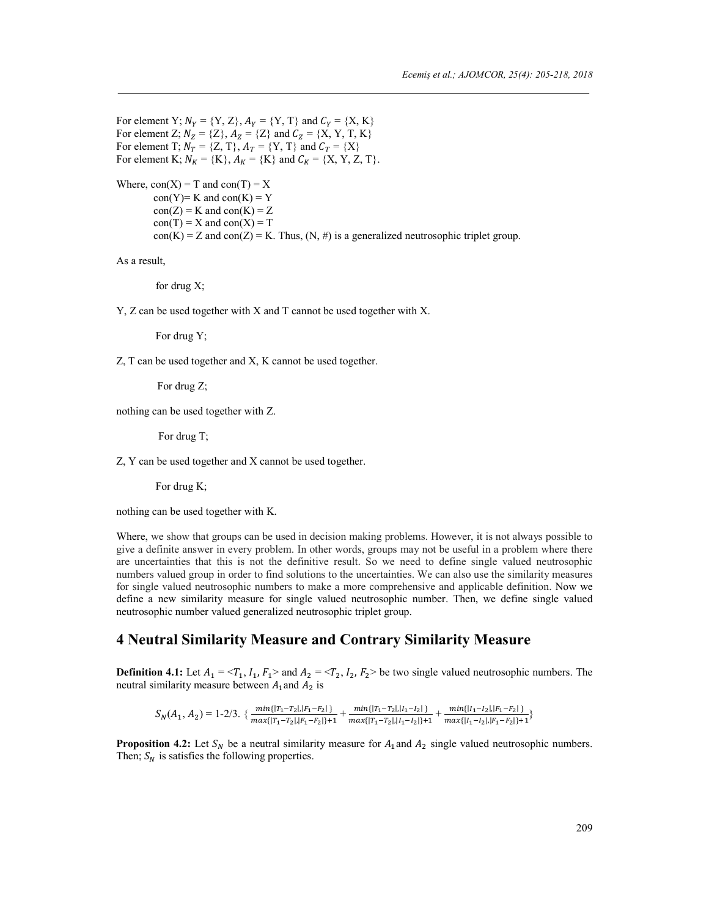For element Y;  $N_Y = \{Y, Z\}$ ,  $A_Y = \{Y, T\}$  and  $C_Y = \{X, K\}$ For element Z;  $N_Z = \{Z\}$ ,  $A_Z = \{Z\}$  and  $C_Z = \{X, Y, T, K\}$ For element T;  $N_T = \{Z, T\}$ ,  $A_T = \{Y, T\}$  and  $C_T = \{X\}$ For element K;  $N_K = \{K\}, A_K = \{K\}$  and  $C_K = \{X, Y, Z, T\}.$ 

```
Where, con(X) = T and con(T) = Xcon(Y)= K and con(K) = Ycon(Z) = K and con(K) = Zcon(T) = X and con(X) = Tcon(K) = Z and con(Z) = K. Thus, (N, \#) is a generalized neutrosophic triplet group.
```
As a result,

for drug X;

Y, Z can be used together with X and T cannot be used together with X.

For drug Y;

Z, T can be used together and X, K cannot be used together.

For drug Z;

nothing can be used together with Z.

For drug T;

Z, Y can be used together and X cannot be used together.

For drug K;

nothing can be used together with K.

Where, we show that groups can be used in decision making problems. However, it is not always possible to give a definite answer in every problem. In other words, groups may not be useful in a problem where there are uncertainties that this is not the definitive result. So we need to define single valued neutrosophic numbers valued group in order to find solutions to the uncertainties. We can also use the similarity measures for single valued neutrosophic numbers to make a more comprehensive and applicable definition. Now we define a new similarity measure for single valued neutrosophic number. Then, we define single valued neutrosophic number valued generalized neutrosophic triplet group.

# **4 Neutral Similarity Measure and Contrary Similarity Measure**

**Definition 4.1:** Let  $A_1 = \langle T_1, I_1, F_1 \rangle$  and  $A_2 = \langle T_2, I_2, F_2 \rangle$  be two single valued neutrosophic numbers. The neutral similarity measure between  $A_1$  and  $A_2$  is

 $S_N(A_1, A_2) = 1-2/3. \ \{ \frac{min\{|\tau_1 - \tau_2|, |\tau_1 - F_2|\} }{max\{|\tau_1 - \tau_2|, |\tau_1 - F_2|\} + 1} + \frac{min\{|\tau_1 - \tau_2|, |\tau_1 - \tau_2|\} }{max\{|\tau_1 - \tau_2|, |\tau_1 - \tau_2|\} + 1} + \frac{min\{|\tau_1 - \tau_2|, |\tau_1 - \tau_2|\} }{max\{|\tau_1 - \tau_2|, |\tau_1 - \tau_2|\} + 1}$ 

**Proposition 4.2:** Let  $S_N$  be a neutral similarity measure for  $A_1$  and  $A_2$  single valued neutrosophic numbers. Then;  $S_N$  is satisfies the following properties.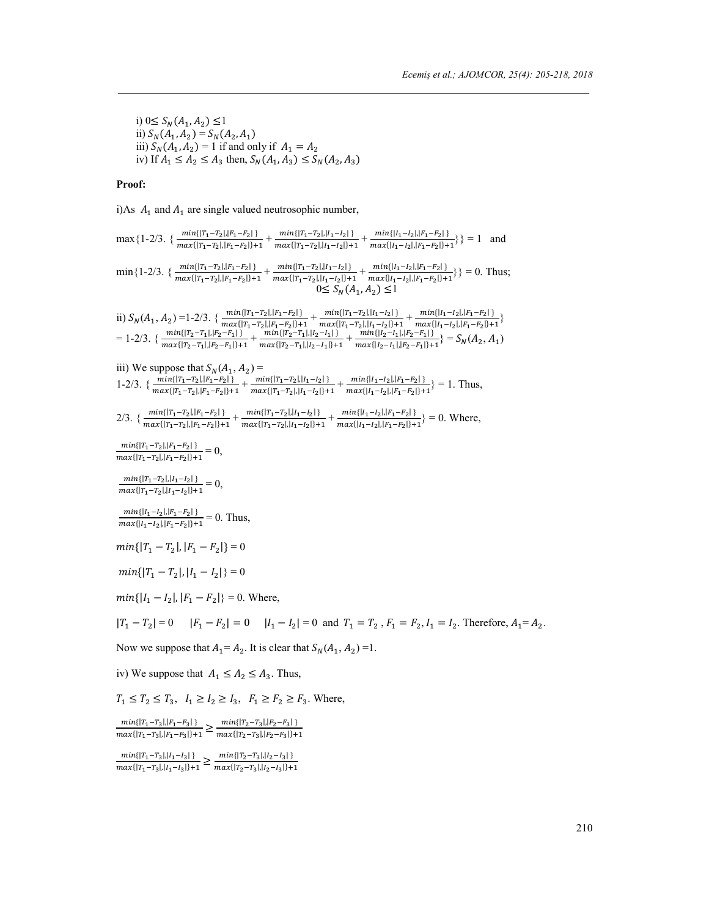i) 0≤  $S_N(A_1, A_2)$  ≤1 ii)  $S_N(A_1, A_2) = S_N(A_2, A_1)$ iii)  $S_N(A_1, A_2) = 1$  if and only if  $A_1 = A_2$ iv) If  $A_1 \le A_2 \le A_3$  then,  $S_N(A_1, A_3) \le S_N(A_2, A_3)$ 

# **Proof:**

i)As  $A_1$  and  $A_1$  are single valued neutrosophic number,

| $\max\{1-2/3.\ \{\frac{min\{ \tau_1-\tau_2 , \tau_1-F_2 \}}{max\{ \tau_1-\tau_2 , \tau_1-F_2 \}+1}+\frac{min\{ \tau_1-\tau_2 , \tau_1-T_2 \}}{max\{ \tau_1-\tau_2 , \tau_1-T_2 \}+1}+\frac{min\{ \tau_1-\tau_2 , \tau_1-F_2 \}}{max\{ \tau_1-\tau_2 , \tau_1-F_2 \}+1}\} = 1$ and                                                                                                               |
|-------------------------------------------------------------------------------------------------------------------------------------------------------------------------------------------------------------------------------------------------------------------------------------------------------------------------------------------------------------------------------------------------|
| $\min\{1-2/3.\ \{\frac{min\{[T_1-T_2],  F_1-F_2 \}+min\{[T_1-T_2],  I_1-I_2 \}+1}{max\{[T_1-T_2],  F_1-F_2 \}+1}+\frac{min\{[T_1-T_2],  I_1-I_2 \}+min\{[I_1-I_2],  F_1-F_2 \}+1}{max\{[I_1-I_2],  F_1-F_2 \}+1}\} = 0.$ Thus;<br>$0 \le S_N(A_1, A_2) \le$                                                                                                                                     |
| ii) $S_N(A_1, A_2) = 1-2/3$ . $\{\frac{\min\{\vert T_1-T_2\vert, \vert F_1-F_2\vert\}}{\max\{\vert T_1-T_2\vert, \vert F_1-F_2\vert\}+1}+\frac{\min\{\vert T_1-T_2\vert, \vert I_1-I_2\vert\}}{\max\{\vert T_1-T_2\vert, \vert I_1-1_2\vert\}+1}+\frac{\min\{\vert I_1-I_2\vert, \vert F_1-F_2\vert\}}{\max\{\vert I_1-I_2\vert, \vert F_1-F_2\vert\}+1}\}$<br>= 1-2/3. $\{\frac{\min\{\vert T$ |
| iii) We suppose that $S_N(A_1, A_2)$ =<br>1-2/3. $\{\frac{min\{ T_1-T_2 , F_1-F_2 \}}{max\{ T_1-T_2 , F_1-F_2 \}+1}+\frac{min\{ T_1-T_2 , I_1-I_2 \}}{max\{ T_1-T_2 , I_1-I_2 \}+1}+\frac{min\{ I_1-I_2 , F_1-F_2 \}}{max\{ I_1-I_2 , F_1-F_2 \}+1}$ = 1. Thus,                                                                                                                                 |
| 2/3. $\{\frac{min\{ T_1-T_2 ,  F_1-F_2 \}}{max\{ T_1-T_2 ,  F_1-F_2 \}+1}+\frac{min\{ T_1-T_2 ,  I_1-I_2 \}}{max\{ T_1-T_2 ,  I_1-I_2 \}+1}+\frac{min\{ I_1-I_2 ,  F_1-F_2 \}}{max\{ I_1-I_2 ,  F_1-F_2 \}+1}\}=0.$ Where,                                                                                                                                                                      |
| $\frac{\min\{ T_1-T_2 , F_1-F_2 \}}{\max\{ T_1-T_2 , F_1-F_2 \}+1}=0,$                                                                                                                                                                                                                                                                                                                          |
| $\frac{min\{ T_1-T_2 ,  I_1-I_2 \}}{max\{ T_1-T_2 ,  I_1-I_2 \}+1} = 0,$                                                                                                                                                                                                                                                                                                                        |
| $\frac{min\{ I_1-I_2 ,  F_1-F_2 \}}{max\{ I_1-I_2 ,  F_2-F_2 \}+1} = 0$ . Thus,                                                                                                                                                                                                                                                                                                                 |
| $min\{ T_1-T_2 ,  F_1-F_2 \}=0$                                                                                                                                                                                                                                                                                                                                                                 |
| $min{  T_1 - T_2 ,  I_1 - I_2  } = 0$                                                                                                                                                                                                                                                                                                                                                           |
| $min\{ I_1 - I_2 ,  F_1 - F_2 \} = 0$ . Where,                                                                                                                                                                                                                                                                                                                                                  |
| $ T_1 - T_2  = 0$ $ F_1 - F_2  = 0$ $ I_1 - I_2  = 0$ and $T_1 = T_2$ , $F_1 = F_2$ , $I_1 = I_2$ . Therefore, $A_1 = A_2$ .                                                                                                                                                                                                                                                                    |
| Now we suppose that $A_1 = A_2$ . It is clear that $S_N(A_1, A_2) = 1$ .                                                                                                                                                                                                                                                                                                                        |
| iv) We suppose that $A_1 \leq A_2 \leq A_3$ . Thus,                                                                                                                                                                                                                                                                                                                                             |
| $T_1 \le T_2 \le T_3$ , $I_1 \ge I_2 \ge I_3$ , $F_1 \ge F_2 \ge F_3$ . Where,                                                                                                                                                                                                                                                                                                                  |
|                                                                                                                                                                                                                                                                                                                                                                                                 |

 ${\frac{min\{|\mathit{T}_1-\mathit{T}_3|,|\mathit{F}_1-\mathit{F}_3|\}}{max\{|\mathit{T}_1-\mathit{T}_3|,|\mathit{F}_1-\mathit{F}_3|\}+1}} \geq {\frac{min\{|\mathit{T}_2-\mathit{T}_3|,|\mathit{F}_2-\mathit{F}_3|\}}{max\{|\mathit{T}_2-\mathit{T}_3|,|\mathit{F}_2-\mathit{F}_3|\}+1}}$ 

 $\frac{\min\{|T_1-T_3|,|I_1-I_3|\}}{\max\{|T_1-T_3|,|I_1-I_3|\}+1} \ge \frac{\min\{|T_2-T_3|,|I_2-I_3|\}}{\max\{|T_2-T_3|,|I_2-I_3|\}+1}$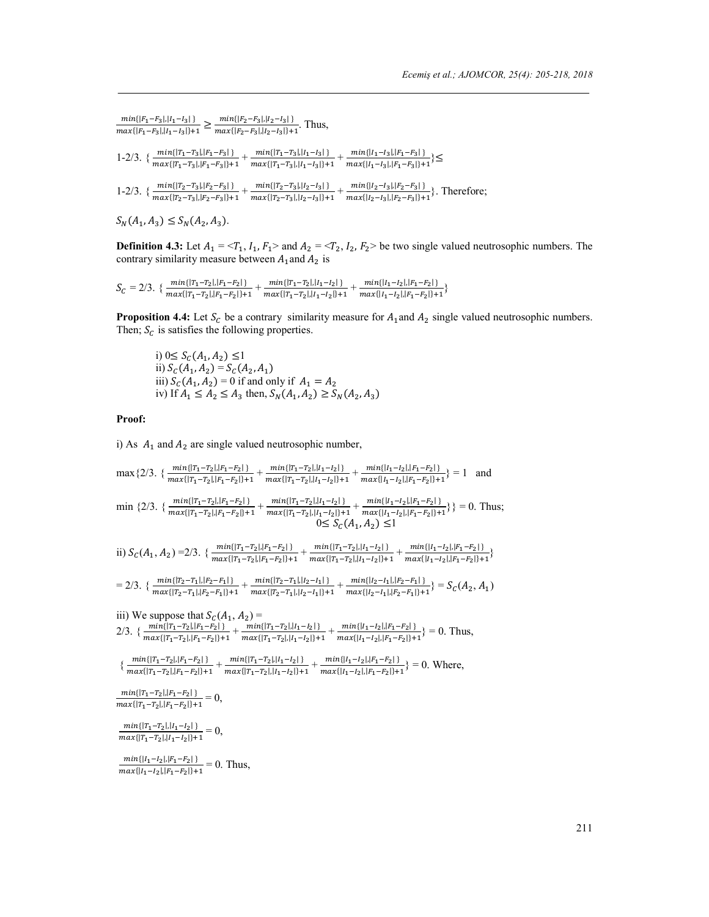$$
\frac{\min\{|F_1 - F_3|, |I_1 - I_3|\}}{\max\{|F_1 - F_3|, |I_1 - I_3|\} + 1} \ge \frac{\min\{|F_2 - F_3|, |I_2 - I_3|\}}{\max\{|F_2 - F_3|, |I_2 - I_3|\} + 1}.
$$
 Thus,  
1-2/3. 
$$
\left\{\frac{\min\{|T_1 - T_3|, |F_1 - F_3|\}}{\max\{|T_1 - T_3|, |F_1 - F_3|\} + 1} + \frac{\min\{|T_1 - T_3|, |I_1 - I_3|\}}{\max\{|T_1 - T_3|, |I_1 - I_3|\} + 1} + \frac{\min\{|I_1 - I_3|, |F_1 - F_3|\}}{\max\{|I_1 - I_3|, |F_1 - F_3|\} + 1}\right\} \le
$$
  
1-2/3. 
$$
\left\{\frac{\min\{|T_2 - T_3|, |F_2 - F_3|\}}{\max\{|T_2 - T_3|, |F_2 - F_3|\} + 1} + \frac{\min\{|T_2 - T_3|, |I_2 - I_3|\}}{\max\{|T_2 - T_3|, |I_2 - I_3|\} + 1} + \frac{\min\{|I_2 - I_3|, |F_2 - F_3|\} + 1}{\max\{|I_2 - I_3|, |F_2 - F_3|\} + 1}\right\}.
$$
 Therefore,

$$
S_N(A_1, A_3) \le S_N(A_2, A_3).
$$

**Definition 4.3:** Let  $A_1 = \langle T_1, I_1, F_1 \rangle$  and  $A_2 = \langle T_2, I_2, F_2 \rangle$  be two single valued neutrosophic numbers. The contrary similarity measure between  $A_1$  and  $A_2$  is

$$
S_C=2/3.\ \{\frac{min\{|\textbf{T}_1-\textbf{T}_2|,|\textbf{F}_1-\textbf{F}_2|\}}{max\{|\textbf{T}_1-\textbf{T}_2|,|\textbf{F}_1-\textbf{F}_2|\}+1}+\frac{min\{|\textbf{T}_1-\textbf{T}_2|,|\textbf{I}_1-\textbf{I}_2|\}}{max\{|\textbf{T}_1-\textbf{T}_2|,|\textbf{I}_1-\textbf{I}_2|\}+1}+\frac{min\{|\textbf{I}_1-\textbf{I}_2|,|\textbf{F}_1-\textbf{F}_2|\}}{max\{|\textbf{I}_1-\textbf{I}_2|,|\textbf{F}_1-\textbf{F}_2|\}+1}\}
$$

**Proposition 4.4:** Let  $S_c$  be a contrary similarity measure for  $A_1$  and  $A_2$  single valued neutrosophic numbers. Then;  $S_c$  is satisfies the following properties.

i)  $0 \le S_C(A_1, A_2) \le 1$ ii)  $S_c(A_1, A_2) = S_c(A_2, A_1)$ iii)  $S_c(A_1, A_2) = 0$  if and only if  $A_1 = A_2$ iv) If  $A_1 \le A_2 \le A_3$  then,  $S_N(A_1, A_2) \ge S_N(A_2, A_3)$ 

#### **Proof:**

i) As  $A_1$  and  $A_2$  are single valued neutrosophic number,

max{2/3. { 
$$
\frac{\min\{|T_1-T_2|, |F_1-F_2|\}}{\max\{|T_1-T_2|, |F_1-F_2|\}+1} + \frac{\min\{|T_1-T_2|, |I_1-I_2|\}}{\max\{|T_1-T_2|, |F_1-T_2|, |F_1-T_2|, |I_1-I_2|\}+1} + \frac{\min\{|I_1-I_2|, |F_1-T_2|, |F_1-F_2|\}}{\max\{|I_1-I_2|, |F_1-F_2|\}+1} + \frac{\min\{|I_1-I_2|, |F_1-I_2|, |F_1-F_2|\}}{\max\{|I_1-I_2|, |F_1-T_2|, |F_1-T_2|, |I_1-I_2|\}+1} + \frac{\min\{|I_1-I_2|, |F_1-F_2|, |F_1-P_2|, |F_1-P_2|, |F_1-P_2|, |F_1-P_2|, |F_1-P_2|, |F_1-P_2|, |F_1-P_2|, |F_1-P_2|, |F_1-P_2|, |F_1-P_2|, |F_1-P_2|, |F_1-P_2|, |F_1-P_2|, |F_1-P_2|, |F_1-P_2|, |F_1-P_2|, |F_1-P_2|, |F_1-P_2|, |F_1-P_2|, |F_1-P_2|, |F_1-P_2|, |F_1-P_2|, |F_1-P_2|, |F_1-P_2|, |F_1-P_2|, |F_1-P_2|, |F_1-P_2|, |F_1-P_2|, |F_1-P_2|, |F_1-P_2|, |F_1-P_2|, |F_1-P_2|, |F_1-P_2|, |F_1-P_2|, |F_1-P_2|, |F_1-P_2|, |F_1-P_2|, |F_1-P_2|, |F_1-P_2|, |F_1-P_2|, |F_1-P_2|, |F_1-P_2|, |F_1-P_2|, |F_1-P_2|, |F_1-P_2|, |F_1-P_2|, |F_1-P_2|, |F_1-P_2|, |F_1-P_2|, |F_1-P_2|, |F_1-P_2|, |F_1-P_2|, |F_1-P_2|, |F_1-P_2|, |
$$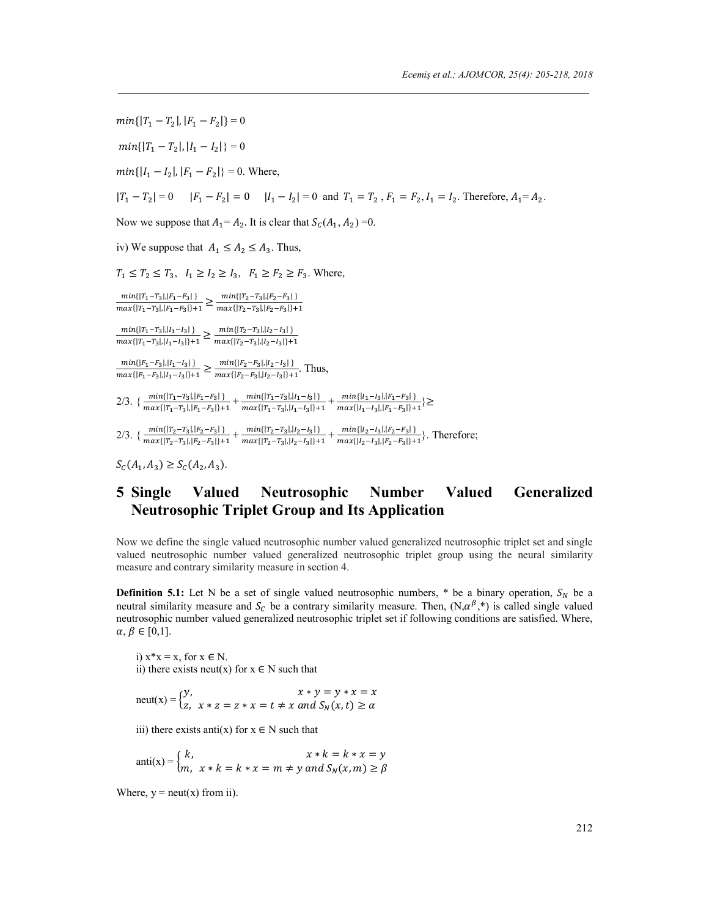$min\{|T_1 - T_2|, |F_1 - F_2|\} = 0$  $min\{|T_1 - T_2|, |I_1 - I_2|\} = 0$  $min\{|I_1 - I_2|, |F_1 - F_2|\} = 0$ . Where,  $|T_1 - T_2| = 0$   $|F_1 - F_2| = 0$   $|I_1 - I_2| = 0$  and  $T_1 = T_2$ ,  $F_1 = F_2$ ,  $I_1 = I_2$ . Therefore,  $A_1 = A_2$ . Now we suppose that  $A_1 = A_2$ . It is clear that  $S_c(A_1, A_2) = 0$ . iv) We suppose that  $A_1 \leq A_2 \leq A_3$ . Thus,  $T_1 \leq T_2 \leq T_3$ ,  $I_1 \geq I_2 \geq I_3$ ,  $F_1 \geq F_2 \geq F_3$ . Where,  ${\frac{min\{|\mathit{T}_1-\mathit{T}_3|,|\mathit{F}_1-\mathit{F}_3|\}}{max\{|\mathit{T}_1-\mathit{T}_3|,|\mathit{F}_1-\mathit{F}_3|\}+1}} \geq {\frac{min\{|\mathit{T}_2-\mathit{T}_3|,|\mathit{F}_2-\mathit{F}_3|\}}{max\{|\mathit{T}_2-\mathit{T}_3|,|\mathit{F}_2-\mathit{F}_3|\}+1}}$  $\frac{\min\{|T_1-T_3|,|I_1-I_3|\}}{\max\{|T_1-T_3|,|I_1-I_3|\}+1} \ge \frac{\min\{|T_2-T_3|,|I_2-I_3|\}}{\max\{|T_2-T_3|,|I_2-I_3|\}+1}$  $\frac{min\{|F_1-F_3|, |I_1-I_3|\}}{max\{|F_1-F_3|, |I_1-I_3|\}+1} \ge \frac{min\{|F_2-F_3|, |I_2-I_3|\}}{max\{|F_2-F_3|, |I_2-I_3|\}+1}.$  Thus, 2/3. { $\frac{min\{[T_1-T_3], [F_1-F_3]\}}{max\{[T_1-T_3], [F_1-F_3]\} + 1} + \frac{min\{[T_1-T_3], [I_1-I_3]\}}{max\{[T_1-T_3], [I_1-I_3]\} + 1} + \frac{min\{[I_1-I_3], [F_1-F_3]\}}{max\{[I_1-I_3], [F_1-F_3]\} + 1}$ 2/3. { $\frac{min\{[T_2-T_3], [F_2-F_3]\}}{max\{[T_2-T_3], [F_2-F_3]\} + 1} + \frac{min\{[T_2-T_3], [I_2-I_3]\} + 1}{max\{[T_2-T_3], [I_2-I_3]\} + 1} + \frac{min\{[I_2-I_3], [F_2-F_3]\} + 1}{max\{[I_2-I_3], [F_2-F_3]\} + 1}$ . Therefore;  $S_C(A_1, A_3) \geq S_C(A_2, A_3).$ 

# **5 Single Valued Neutrosophic Number Valued Generalized Neutrosophic Triplet Group and Its Application**

Now we define the single valued neutrosophic number valued generalized neutrosophic triplet set and single valued neutrosophic number valued generalized neutrosophic triplet group using the neural similarity measure and contrary similarity measure in section 4.

**Definition 5.1:** Let N be a set of single valued neutrosophic numbers,  $*$  be a binary operation,  $S_N$  be a neutral similarity measure and  $S_c$  be a contrary similarity measure. Then,  $(N, \alpha^{\beta,*})$  is called single valued neutrosophic number valued generalized neutrosophic triplet set if following conditions are satisfied. Where,  $\alpha, \beta \in [0,1].$ 

i)  $x^*x = x$ , for  $x \in N$ . ii) there exists neut(x) for  $x \in N$  such that

$$
neut(x) = \begin{cases} y, & x \neq y = y \cdot x = x \\ z, & x \neq z = z \cdot x = t \neq x \text{ and } S_N(x, t) \geq \alpha \end{cases}
$$

iii) there exists anti(x) for  $x \in N$  such that

$$
anti(x) = \begin{cases} k, & x * k = k * x = y \\ m, & x * k = k * x = m \neq y \text{ and } S_N(x, m) \geq \beta \end{cases}
$$

Where,  $y = \text{neut}(x)$  from ii).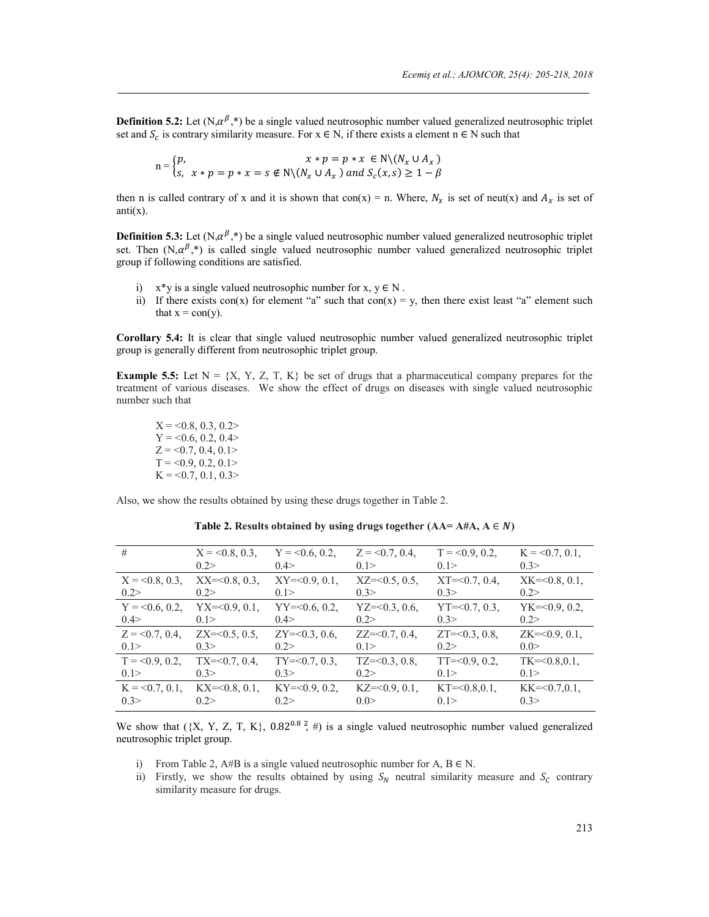**Definition 5.2:** Let  $(N, \alpha^{\beta}, *)$  be a single valued neutrosophic number valued generalized neutrosophic triplet set and  $S_c$  is contrary similarity measure. For  $x \in N$ , if there exists a element  $n \in N$  such that

$$
n = \begin{cases} p, & x \neq p = p \cdot x \in N \setminus (N_x \cup A_x) \\ s, & x \neq p = p \cdot x = s \notin N \setminus (N_x \cup A_x) \text{ and } S_c(x, s) \geq 1 - \beta \end{cases}
$$

then n is called contrary of x and it is shown that con(x) = n. Where,  $N_x$  is set of neut(x) and  $A_x$  is set of  $anti(x)$ .

**Definition 5.3:** Let  $(N, \alpha^{\beta}, *)$  be a single valued neutrosophic number valued generalized neutrosophic triplet set. Then  $(N,\alpha^{\beta},*)$  is called single valued neutrosophic number valued generalized neutrosophic triplet group if following conditions are satisfied.

- i)  $x^*y$  is a single valued neutrosophic number for  $x, y \in N$ .
- ii) If there exists con(x) for element "a" such that  $con(x) = y$ , then there exist least "a" element such that  $x = con(y)$ .

**Corollary 5.4:** It is clear that single valued neutrosophic number valued generalized neutrosophic triplet group is generally different from neutrosophic triplet group.

**Example 5.5:** Let  $N = \{X, Y, Z, T, K\}$  be set of drugs that a pharmaceutical company prepares for the treatment of various diseases. We show the effect of drugs on diseases with single valued neutrosophic number such that

 $X = 0.8, 0.3, 0.2$  $Y = 0.6, 0.2, 0.4>$  $Z = 0.7, 0.4, 0.1>$  $T = 0.9, 0.2, 0.1$  $K = 0.7, 0.1, 0.3$ 

Also, we show the results obtained by using these drugs together in Table 2.

| #                | $X = 0.8, 0.3$           | $Y = 0.6, 0.2$       | $Z = 0.7, 0.4$    | $T = 0.9, 0.2,$   | $K = 0.7, 0.1,$   |
|------------------|--------------------------|----------------------|-------------------|-------------------|-------------------|
|                  | 0.2>                     | 0.4>                 | 0.1               | 0.1               | 0.3>              |
| $X = 0.8, 0.3$   | $XX = 0.8, 0.3$          | $XY = 0.9, 0.1$ ,    | $XZ = 0.5, 0.5,$  | $XT = 0.7, 0.4$   | $XK = 0.8, 0.1$ , |
| 0.2              | 0.2>                     | 0.1                  | 03>               | 0.3>              | 0.2               |
| $Y = 0.6, 0.2$   | $YX = 0.9, 0.1$ ,        | $YY = 0.6, 0.2$      | $YZ = 0.3, 0.6$ , | $YT = 0.7, 0.3$ , | $YK = 0.9, 0.2$   |
| 0.4              | 0.1>                     | 0.4>                 | 0.2               | 0.3>              | 0.2               |
| $Z = 0.7, 0.4$   | $ZX = 0.5, 0.5$          | $ZY=<0.3, 0.6$ ,     | $ZZ = 0.7, 0.4$   | $ZT = 0.3$ , 0.8, | $ZK = 0.9, 0.1$ , |
| 0.1              | 03>                      | 0.2                  | 0.1               | 0.2               | 0.0               |
| $T = 0.9, 0.2$   | $TX = 0.7, 0.4$          | $TY=<0.7, 0.3$ .     | $TZ=<0.3, 0.8$    | $TT = 0.9, 0.2$   | $TK = 0.8.0.1$ .  |
| 0.1              | 03>                      | 03>                  | 0.2               | 0.1               | 0.1               |
| $K = 0.7, 0.1$ , | $\text{KX} = 0.8, 0.1$ . | $KY=\leq 0.9, 0.2$ , | $KZ = 0.9, 0.1$ , | $KT = 0.801$ .    | $KK = 0.7.01$ .   |
| 0.3>             | 0.2                      | 0.2                  | 0.0               | 0.1               | 0.3>              |

Table 2. Results obtained by using drugs together  $(AA= A#A, A \in N)$ 

We show that  $({X, Y, Z, T, K}, 0.82^{0.8}, 4)$  is a single valued neutrosophic number valued generalized neutrosophic triplet group.

- i) From Table 2, A#B is a single valued neutrosophic number for A,  $B \in N$ .
- ii) Firstly, we show the results obtained by using  $S_N$  neutral similarity measure and  $S_C$  contrary similarity measure for drugs.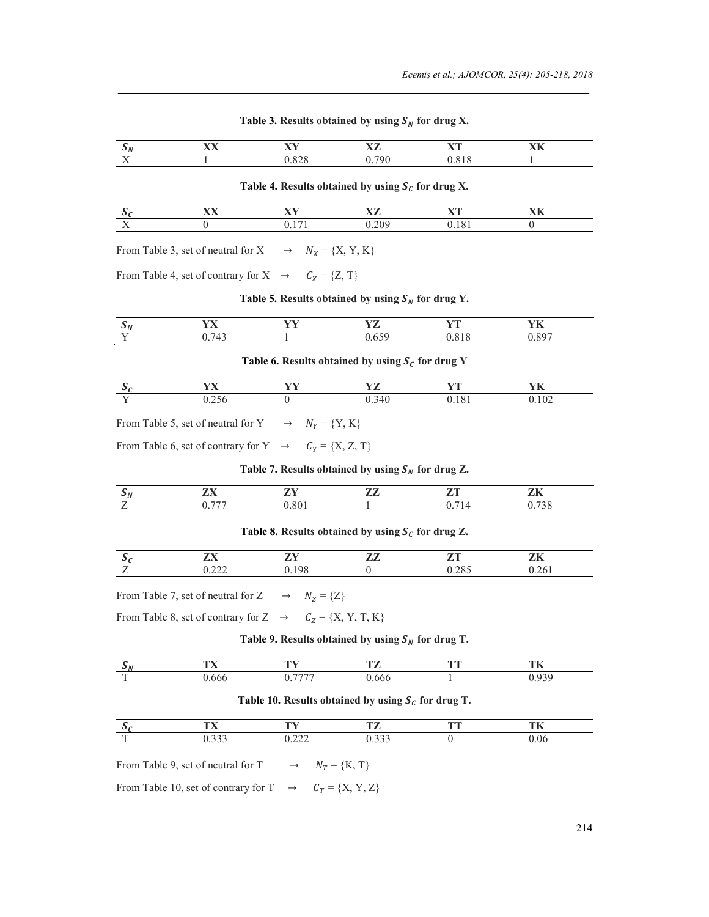|     | . | --- | --- |  |
|-----|---|-----|-----|--|
| . . |   |     |     |  |

#### Table 3. Results obtained by using  $S_N$  for drug X.

Table 4. Results obtained by using  $S_c$  for drug X.

|     | ---- | ---- | --- | --- |
|-----|------|------|-----|-----|
| . . |      |      |     |     |

From Table 3, set of neutral for  $X \rightarrow N_X = \{X, Y, K\}$ 

From Table 4, set of contrary for  $X \rightarrow C_X = \{Z, T\}$ 

### Table 5. Results obtained by using  $S_N$  for drug Y.

|     | - -- | _ __ | $T$ , $T$ and $T$ | <b>State State</b> |  |
|-----|------|------|-------------------|--------------------|--|
| - - |      |      |                   |                    |  |

### Table 6. Results obtained by using  $S_c$  for drug Y

|  | . . |  |  |
|--|-----|--|--|
|  |     |  |  |

From Table 5, set of neutral for Y  $\rightarrow$   $N_Y = \{Y, K\}$ 

From Table 6, set of contrary for  $Y \rightarrow C_Y = \{X, Z, T\}$ 

### Table 7. Results obtained by using  $S_N$  for drug Z.

| $- -$ | __ |  |  |
|-------|----|--|--|
|       |    |  |  |

# Table 8. Results obtained by using  $S_c$  for drug Z.

|   | __ |  |  |
|---|----|--|--|
| - |    |  |  |

From Table 7, set of neutral for  $Z \rightarrow N_Z = \{Z\}$ 

From Table 8, set of contrary for Z  $\rightarrow$   $C_Z = \{X, Y, T, K\}$ 

### Table 9. Results obtained by using  $S_N$  for drug T.

|   | <b>CONTRACT</b> | ╌ | ___ |
|---|-----------------|---|-----|
| œ |                 |   |     |

### Table 10. Results obtained by using  $S_c$  for drug T.

|   | __ |  |   |  |
|---|----|--|---|--|
| ÷ |    |  | u |  |

From Table 9, set of neutral for T  $\rightarrow$   $N_T = \{K, T\}$ 

From Table 10, set of contrary for T  $\rightarrow$   $C_T = \{X, Y, Z\}$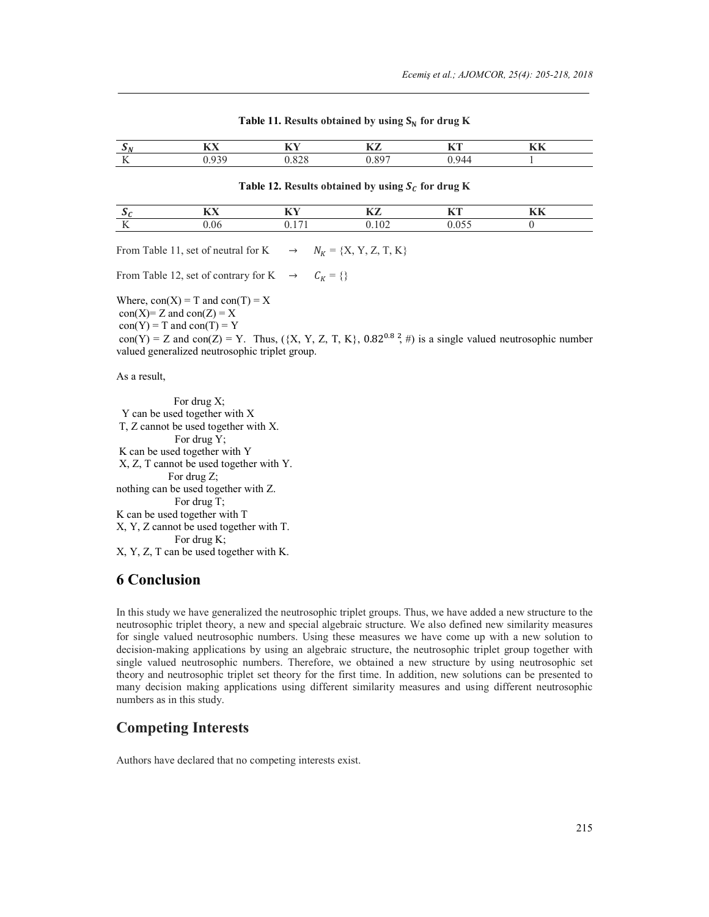|                                  | --- | --- | $-$ | ___ | ----<br>. |  |
|----------------------------------|-----|-----|-----|-----|-----------|--|
| $ -$<br>$\overline{\phantom{a}}$ |     |     |     |     |           |  |

#### **Table 11. Results obtained by using**  $S_N$  **for drug K**

#### **Table 12. Results obtained by using**  $S_c$  **for drug K**

|     | --- | --- |  | --- |  |
|-----|-----|-----|--|-----|--|
| . . |     |     |  |     |  |

From Table 11, set of neutral for K  $\rightarrow$   $N_K = \{X, Y, Z, T, K\}$ 

From Table 12, set of contrary for K  $\rightarrow$   $C_K = \{\}$ 

Where,  $con(X) = T$  and  $con(T) = X$  $con(X)$  = Z and  $con(Z)$  = X  $con(Y) = T$  and  $con(T) = Y$ con(Y) = Z and con(Z) = Y. Thus, ({X, Y, Z, T, K},  $0.82^{0.8}$   $\frac{2}{7}$  #) is a single valued neutrosophic number valued generalized neutrosophic triplet group.

As a result,

 For drug X; Y can be used together with X T, Z cannot be used together with X. For drug Y; K can be used together with Y X, Z, T cannot be used together with Y. For drug Z; nothing can be used together with Z. For drug T; K can be used together with T X, Y, Z cannot be used together with T. For drug K; X, Y, Z, T can be used together with K.

# **6 Conclusion**

In this study we have generalized the neutrosophic triplet groups. Thus, we have added a new structure to the neutrosophic triplet theory, a new and special algebraic structure. We also defined new similarity measures for single valued neutrosophic numbers. Using these measures we have come up with a new solution to decision-making applications by using an algebraic structure, the neutrosophic triplet group together with single valued neutrosophic numbers. Therefore, we obtained a new structure by using neutrosophic set theory and neutrosophic triplet set theory for the first time. In addition, new solutions can be presented to many decision making applications using different similarity measures and using different neutrosophic numbers as in this study.

# **Competing Interests**

Authors have declared that no competing interests exist.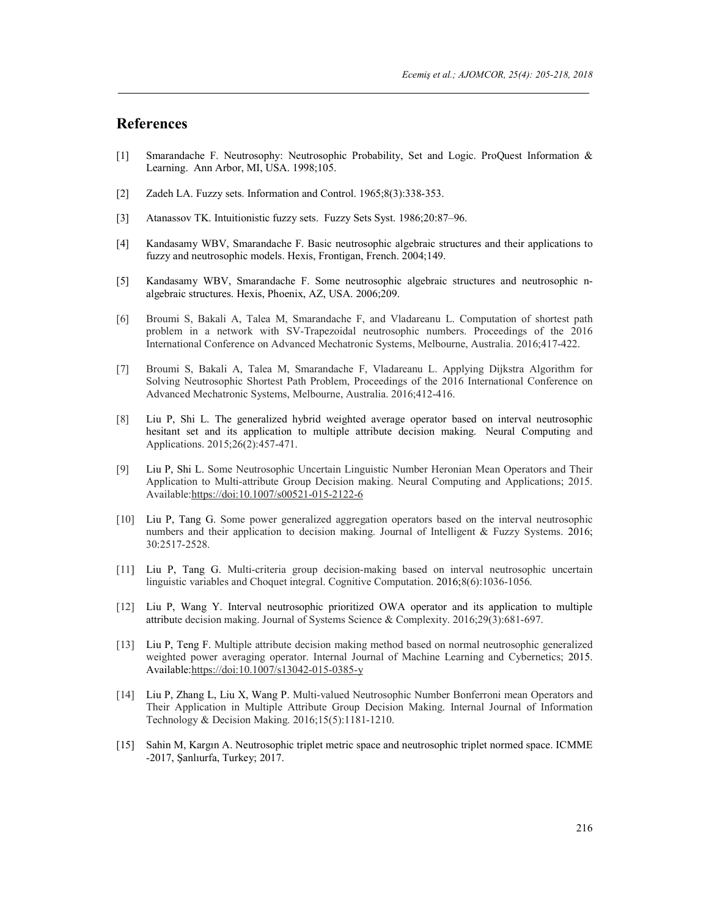# **References**

- [1] Smarandache F. Neutrosophy: Neutrosophic Probability, Set and Logic. ProQuest Information & Learning. Ann Arbor, MI, USA. 1998;105.
- [2] Zadeh LA. Fuzzy sets. Information and Control. 1965;8(3):338-353.
- [3] Atanassov TK. Intuitionistic fuzzy sets. Fuzzy Sets Syst. 1986;20:87–96.
- [4] Kandasamy WBV, Smarandache F. Basic neutrosophic algebraic structures and their applications to fuzzy and neutrosophic models. Hexis, Frontigan, French. 2004;149.
- [5] Kandasamy WBV, Smarandache F. Some neutrosophic algebraic structures and neutrosophic nalgebraic structures. Hexis, Phoenix, AZ, USA. 2006;209.
- [6] Broumi S, Bakali A, Talea M, Smarandache F, and Vladareanu L. Computation of shortest path problem in a network with SV-Trapezoidal neutrosophic numbers. Proceedings of the 2016 International Conference on Advanced Mechatronic Systems, Melbourne, Australia. 2016;417-422.
- [7] Broumi S, Bakali A, Talea M, Smarandache F, Vladareanu L. Applying Dijkstra Algorithm for Solving Neutrosophic Shortest Path Problem, Proceedings of the 2016 International Conference on Advanced Mechatronic Systems, Melbourne, Australia. 2016;412-416.
- [8] Liu P, Shi L. The generalized hybrid weighted average operator based on interval neutrosophic hesitant set and its application to multiple attribute decision making. Neural Computing and Applications. 2015;26(2):457-471.
- [9] Liu P, Shi L. Some Neutrosophic Uncertain Linguistic Number Heronian Mean Operators and Their Application to Multi-attribute Group Decision making. Neural Computing and Applications; 2015. Available:https://doi:10.1007/s00521-015-2122-6
- [10] Liu P, Tang G. Some power generalized aggregation operators based on the interval neutrosophic numbers and their application to decision making. Journal of Intelligent & Fuzzy Systems. 2016; 30:2517-2528.
- [11] Liu P, Tang G. Multi-criteria group decision-making based on interval neutrosophic uncertain linguistic variables and Choquet integral. Cognitive Computation. 2016;8(6):1036-1056.
- [12] Liu P, Wang Y. Interval neutrosophic prioritized OWA operator and its application to multiple attribute decision making. Journal of Systems Science & Complexity. 2016;29(3):681-697.
- [13] Liu P, Teng F. Multiple attribute decision making method based on normal neutrosophic generalized weighted power averaging operator. Internal Journal of Machine Learning and Cybernetics; 2015. Available:https://doi:10.1007/s13042-015-0385-y
- [14] Liu P, Zhang L, Liu X, Wang P. Multi-valued Neutrosophic Number Bonferroni mean Operators and Their Application in Multiple Attribute Group Decision Making. Internal Journal of Information Technology & Decision Making. 2016;15(5):1181-1210.
- [15] Sahin M, Kargın A. Neutrosophic triplet metric space and neutrosophic triplet normed space. ICMME -2017, Şanlıurfa, Turkey; 2017.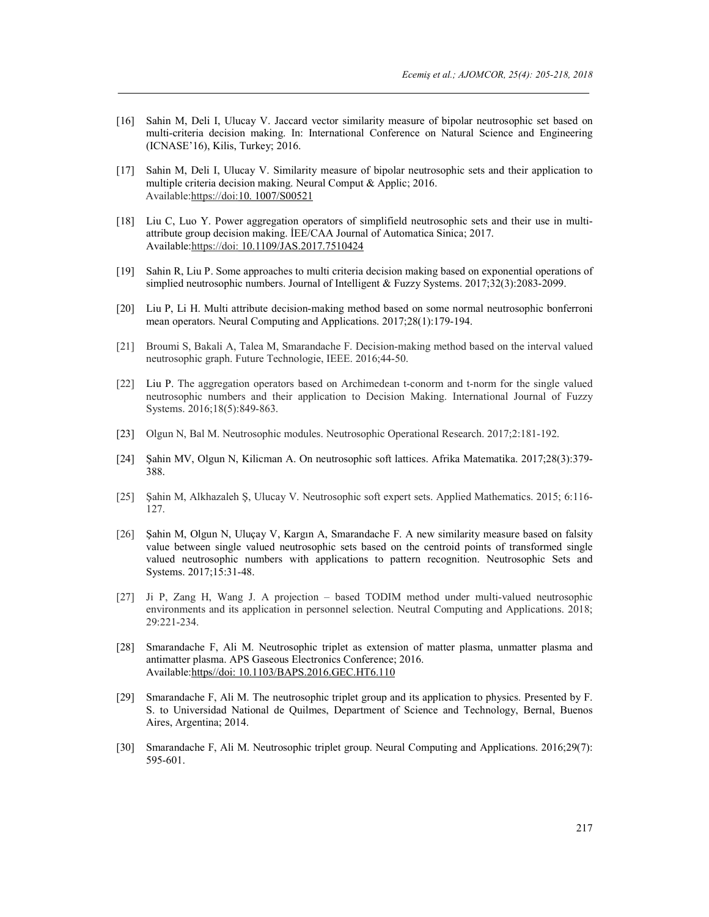- [16] Sahin M, Deli I, Ulucay V. Jaccard vector similarity measure of bipolar neutrosophic set based on multi-criteria decision making. In: International Conference on Natural Science and Engineering (ICNASE'16), Kilis, Turkey; 2016.
- [17] Sahin M, Deli I, Ulucay V. Similarity measure of bipolar neutrosophic sets and their application to multiple criteria decision making. Neural Comput & Applic; 2016. Available:https://doi:10. 1007/S00521
- [18] Liu C, Luo Y. Power aggregation operators of simplifield neutrosophic sets and their use in multiattribute group decision making. İEE/CAA Journal of Automatica Sinica; 2017. Available:https://doi: 10.1109/JAS.2017.7510424
- [19] Sahin R, Liu P. Some approaches to multi criteria decision making based on exponential operations of simplied neutrosophic numbers. Journal of Intelligent & Fuzzy Systems. 2017;32(3):2083-2099.
- [20] Liu P, Li H. Multi attribute decision-making method based on some normal neutrosophic bonferroni mean operators. Neural Computing and Applications. 2017;28(1):179-194.
- [21] Broumi S, Bakali A, Talea M, Smarandache F. Decision-making method based on the interval valued neutrosophic graph. Future Technologie, IEEE. 2016;44-50.
- [22] Liu P. The aggregation operators based on Archimedean t-conorm and t-norm for the single valued neutrosophic numbers and their application to Decision Making. International Journal of Fuzzy Systems. 2016;18(5):849-863.
- [23] Olgun N, Bal M. Neutrosophic modules. Neutrosophic Operational Research. 2017;2:181-192.
- [24] Şahin MV, Olgun N, Kilicman A. On neutrosophic soft lattices. Afrika Matematika. 2017;28(3):379- 388.
- [25] Şahin M, Alkhazaleh Ş, Ulucay V. Neutrosophic soft expert sets. Applied Mathematics. 2015; 6:116- 127.
- [26] Şahin M, Olgun N, Uluçay V, Kargın A, Smarandache F. A new similarity measure based on falsity value between single valued neutrosophic sets based on the centroid points of transformed single valued neutrosophic numbers with applications to pattern recognition. Neutrosophic Sets and Systems. 2017;15:31-48.
- [27] Ji P, Zang H, Wang J. A projection based TODIM method under multi-valued neutrosophic environments and its application in personnel selection. Neutral Computing and Applications. 2018; 29:221-234.
- [28] Smarandache F, Ali M. Neutrosophic triplet as extension of matter plasma, unmatter plasma and antimatter plasma. APS Gaseous Electronics Conference; 2016. Available:https//doi: 10.1103/BAPS.2016.GEC.HT6.110
- [29] Smarandache F, Ali M. The neutrosophic triplet group and its application to physics. Presented by F. S. to Universidad National de Quilmes, Department of Science and Technology, Bernal, Buenos Aires, Argentina; 2014.
- [30] Smarandache F, Ali M. Neutrosophic triplet group. Neural Computing and Applications. 2016;29(7): 595-601.